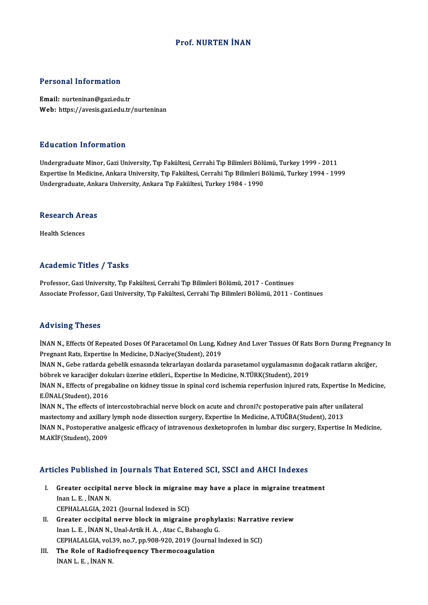#### Prof.NURTEN İNAN

#### Personal Information

Email: nurteninan@gazi.edu.tr Web: https://avesis.gazi.edu.tr/nurteninan

#### Education Information

Undergraduate Minor, Gazi University, Tıp Fakültesi, Cerrahi Tıp Bilimleri Bölümü, Turkey 1999 - 2011 Expertise In Medicine, Ankara University, Tıp Fakültesi, Cerrahi Tıp Bilimleri Bölümü, Turkey 1994 - 1999 Undergraduate, Ankara University, Ankara Tıp Fakültesi, Turkey 1984 - 1990

### ondergraduate, Anka<br>Research Areas R<mark>esearch Ar</mark><br>Health Sciences

## Academic Titles / Tasks

Professor, Gazi University, Tıp Fakültesi, Cerrahi Tıp Bilimleri Bölümü, 2017 - Continues Associate Professor, Gazi University, Tıp Fakültesi, Cerrahi Tıp Bilimleri Bölümü, 2011 - Continues

#### Advising Theses

Advising Theses<br>İNAN N., Effects Of Repeated Doses Of Paracetamol On Lung, Kıdney And Lıver Tıssues Of Rats Born Durıng Pregnancy In<br>Pregnant Beta Evneytice In Medicine, D Nasiye(Student), 2019 reg viering virosoes<br>INAN N., Effects Of Repeated Doses Of Paracetamol On Lung, Ki<br>Pregnant Rats, Expertise In Medicine, D.Naciye(Student), 2019<br>INAN N. Cobe retlande sebelik senasında telmerleyen deslerde İNAN N., Effects Of Repeated Doses Of Paracetamol On Lung, Kıdney And Lıver Tıssues Of Rats Born During Pregnan<br>Pregnant Rats, Expertise In Medicine, D.Naciye(Student), 2019<br>İNAN N., Gebe ratlarda gebelik esnasında tekrarl

Pregnant Rats, Expertise In Medicine, D.Naciye(Student), 2019<br>İNAN N., Gebe ratlarda gebelik esnasında tekrarlayan dozlarda parasetamol uygulamasının do<br>böbrek ve karaciğer dokuları üzerine etkileri., Expertise In Medicine İNAN N., Gebe ratlarda gebelik esnasında tekrarlayan dozlarda parasetamol uygulamasının doğacak ratların akciğer,<br>böbrek ve karaciğer dokuları üzerine etkileri., Expertise In Medicine, N.TÜRK(Student), 2019<br>İNAN N., Effect

böbrek ve karaciğer dokuları üzerine etkileri., Expertise In Medicine, N.TÜRK(Student), 2019<br>İNAN N., Effects of pregabaline on kidney tissue in spinal cord ischemia reperfusion injured r<br>E.ÜNAL(Student), 2016 İNAN N., Effects of pregabaline on kidney tissue in spinal cord ischemia reperfusion injured rats, Expertise In Medicine,<br>E.ÜNAL(Student), 2016<br>İNAN N., The effects of intercostobrachial nerve block on acute and chroni?c p

INAN N., The effects of intercostobrachial nerve block on acute and chroni?c postoperative pain after unilateral INAN N., The effects of intercostobrachial nerve block on acute and chroni?c postoperative pain after unilateral<br>mastectomy and axillary lymph node dissection surgery, Expertise In Medicine, A.TUĞBA(Student), 2013<br>INAN N., mastectomy and axillary<br>İNAN N., Postoperative a<br>M.AKİF(Student), 2009

## Articles Published in Journals That Entered SCI, SSCI and AHCI Indexes

- I. Greater occipital nerve block in migraine may have a place in migraine treatment Inan L.E., İNAN N. CEPHALALGIA, 2021 (Journal Indexed in SCI) Inan L. E. , İNAN N.<br>CEPHALALGIA, 2021 (Journal Indexed in SCI)<br>II. Greater occipital nerve block in migraine prophylaxis: Narrative review<br>Jpan L. E. İNAN N. Unal Artik H.A., Atas C. Babassiv C.
- CEPHALALGIA, 2021 (Journal Indexed in SCI)<br>Greater occipital nerve block in migraine prophyl<br>Inan L. E. , İNAN N., Unal-Artik H. A. , Atac C., Babaoglu G.<br>CEPHALALGIA, vol 29 no 7 nn 908 929 2019 (Journal L Greater occipital nerve block in migraine prophylaxis: Narrativ<br>Inan L. E. , İNAN N., Unal-Artik H. A. , Atac C., Babaoglu G.<br>CEPHALALGIA, vol.39, no.7, pp.908-920, 2019 (Journal Indexed in SCI)<br>The Bole of Bodiefreeveney Inan L. E. , İNAN N., Unal-Artik H. A. , Atac C., Babaoglu G.<br>CEPHALALGIA, vol.39, no.7, pp.908-920, 2019 (Journal Indexed in SCI)<br>III. The Role of Radiofrequency Thermocoagulation
- İNANL.E. , İNANN.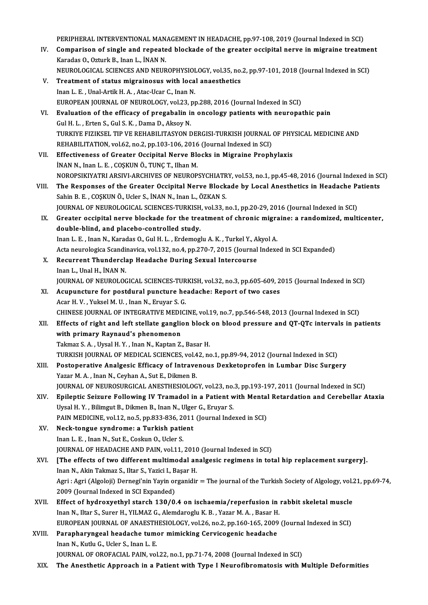PERIPHERAL INTERVENTIONAL MANAGEMENT IN HEADACHE, pp.97-108, 2019 (Journal Indexed in SCI)<br>Comparison of single and repeated blockede of the greater oscipital perus in migraine treatm

- PERIPHERAL INTERVENTIONAL MANAGEMENT IN HEADACHE, pp.97-108, 2019 (Journal Indexed in SCI)<br>IV. Comparison of single and repeated blockade of the greater occipital nerve in migraine treatment PERIPHERAL INTERVENTIONAL MAN<br>Comparison of single and repeate<br>Karadas O., Ozturk B., Inan L., İNAN N.<br>NEUPOLOCICAL SCIENCES AND NEUP Comparison of single and repeated blockade of the greater occipital nerve in migraine treatment<br>Karadas O., Ozturk B., Inan L., İNAN N.<br>NEUROLOGICAL SCIENCES AND NEUROPHYSIOLOGY, vol.35, no.2, pp.97-101, 2018 (Journal Inde Karadas O., Ozturk B., Inan L., INAN N.<br>NEUROLOGICAL SCIENCES AND NEUROPHYSIOLOGY, vol.35, no.<br>V. Treatment of status migrainosus with local anaesthetics<br>Inan L. E. , Unal-Artik H. A. , Atac-Ucar C., Inan N. NEUROLOGICAL SCIENCES AND NEUROPHYSIOLOGY, vol.35, no.2, pp.97-101, 2018 (Journal Indexed in SCI)
- Treatment of status migrainosus with local anaesthetics<br>Inan L. E. , Unal-Artik H. A. , Atac-Ucar C., Inan N.<br>EUROPEAN JOURNAL OF NEUROLOGY, vol.23, pp.288, 2016 (Journal Indexed in SCI)<br>Evaluation of the efficesy of presc VI. Evaluation of the efficacy of pregabalin in oncology patients with neuropathic pain Gul H. L., Erten S., Gul S. K., Dama D., Aksov N. EUROPEAN JOURNAL OF NEUROLOGY, vol.23, <sub>1</sub><br>Evaluation of the efficacy of pregabalin in<br>Gul H. L. , Erten S., Gul S. K. , Dama D., Aksoy N.<br>TURKIVE EIZIKSEL TIR VE REHABILITASYON F Evaluation of the efficacy of pregabalin in oncology patients with neuropathic pain<br>Gul H. L. , Erten S., Gul S. K. , Dama D., Aksoy N.<br>TURKIYE FIZIKSEL TIP VE REHABILITASYON DERGISI-TURKISH JOURNAL OF PHYSICAL MEDICINE AN Gul H. L. , Erten S., Gul S. K. , Dama D., Aksoy N.<br>TURKIYE FIZIKSEL TIP VE REHABILITASYON DERGISI-TURKISH JOURNAL<br>REHABILITATION, vol.62, no.2, pp.103-106, 2016 (Journal Indexed in SCI)<br>Effectiveness of Creater Oscinital VII. Effectiveness of Greater Occipital Nerve Blocks in Migraine Prophylaxis INAN N., Inan L. E., COSKUN Ö., TUNC T., Ilhan M. REHABILITATION, vol.62, no.2, pp.103-106, 2016 (Journal Indexed in SCI) Effectiveness of Greater Occipital Nerve Blocks in Migraine Prophylaxis<br>INAN N., Inan L. E. , COŞKUN Ö., TUNÇ T., Ilhan M.<br>NOROPSIKIYATRI ARSIVI-ARCHIVES OF NEUROPSYCHIATRY, vol.53, no.1, pp.45-48, 2016 (Journal Indexed in iNAN N., Inan L. E. , COŞKUN Ö., TUNÇ T., Ilhan M.<br>NOROPSIKIYATRI ARSIVI-ARCHIVES OF NEUROPSYCHIATRY, vol.53, no.1, pp.45-48, 2016 (Journal Indexed in SC<br>VIII. The Responses of the Greater Occipital Nerve Blockade by Local NOROPSIKIYATRI ARSIVI-ARCHIVES OF NEUROPSYCHIATR<br>The Responses of the Greater Occipital Nerve Block<br>Sahin B. E. , COŞKUN Ö., Ucler S., İNAN N., Inan L., ÖZKAN S.<br>JOUPMAL OF NEUROLOCICAL SCIENCES TURKISU vel 33 x The Responses of the Greater Occipital Nerve Blockade by Local Anesthetics in Headache Patients<br>Sahin B. E. , COȘKUN Ö., Ucler S., İNAN N., Inan L., ÖZKAN S.<br>JOURNAL OF NEUROLOGICAL SCIENCES-TURKISH, vol.33, no.1, pp.20-29 IX. Greater occipital nerve blockade for the treatment of chronic migraine: a randomized, multicenter, double-blind, and placebo-controlled study. Greater occipital nerve blockade for the treatment of chronic migradouble-blind, and placebo-controlled study.<br>Inan L. E. , Inan N., Karadas O., Gul H. L. , Erdemoglu A. K. , Turkel Y., Akyol A.<br>Aste neuvelegies Scandinavi double-blind, and placebo-controlled study.<br>Inan L. E. , Inan N., Karadas O., Gul H. L. , Erdemoglu A. K. , Turkel Y., Akyol A.<br>Acta neurologica Scandinavica, vol.132, no.4, pp.270-7, 2015 (Journal Indexed in SCI Expanded) Inan L. E. , Inan N., Karadas O., Gul H. L. , Erdemoglu A. K. , Turkel Y., A.<br>Acta neurologica Scandinavica, vol.132, no.4, pp.270-7, 2015 (Journal<br>X. Recurrent Thunderclap Headache During Sexual Intercourse<br>Inan L. Unal H Acta neurologica Scandi<br><mark>Recurrent Thundercl</mark>a<br>Inan L., Unal H., İNAN N.<br>IOUPNAL OF NEUPOLOC Recurrent Thunderclap Headache During Sexual Intercourse<br>Inan L., Unal H., İNAN N.<br>JOURNAL OF NEUROLOGICAL SCIENCES-TURKISH, vol.32, no.3, pp.605-609, 2015 (Journal Indexed in SCI)<br>Agunungture for nostdural nungture beadag Inan L., Unal H., İNAN N.<br>JOURNAL OF NEUROLOGICAL SCIENCES-TURKISH, vol.32, no.3, pp.605-609, 2<br>XI. Acupuncture for postdural puncture headache: Report of two cases **JOURNAL OF NEUROLOGICAL SCIENCES-TUR<br>Acupuncture for postdural puncture he<br>Acar H. V. , Yuksel M. U. , Inan N., Eruyar S. G.<br>CHINESE JOURNAL OF INTECRATIVE MEDICI** XI. Acupuncture for postdural puncture headache: Report of two cases<br>Acar H. V., Yuksel M. U., Inan N., Eruyar S. G.<br>CHINESE JOURNAL OF INTEGRATIVE MEDICINE, vol.19, no.7, pp.546-548, 2013 (Journal Indexed in SCI) XII. Effects of right and left stellate ganglion block on blood pressure and QT-QTc intervals in patients with primary Raynaud's phenomenon Takmaz S.A., Uysal H.Y., Inan N., Kaptan Z., Basar H. TURKISH JOURNAL OF MEDICAL SCIENCES, vol.42, no.1, pp.89-94, 2012 (Journal Indexed in SCI) Takmaz S. A. , Uysal H. Y. , Inan N., Kaptan Z., Basar H.<br>TURKISH JOURNAL OF MEDICAL SCIENCES, vol.42, no.1, pp.89-94, 2012 (Journal Indexed in SCI)<br>XIII. Postoperative Analgesic Efficacy of Intravenous Dexketoprofen in Lu TURKISH JOURNAL OF MEDICAL SCIENCES, vol.4<br>Postoperative Analgesic Efficacy of Intrave<br>Yazar M. A. , Inan N., Ceyhan A., Sut E., Dikmen B.<br>JOURNAL OF NEUROSURCICAL ANESTHESIOLOC Postoperative Analgesic Efficacy of Intravenous Dexketoprofen in Lumbar Disc Surgery<br>Yazar M. A. , Inan N., Ceyhan A., Sut E., Dikmen B.<br>JOURNAL OF NEUROSURGICAL ANESTHESIOLOGY, vol.23, no.3, pp.193-197, 2011 (Journal Inde Yazar M. A. , Inan N., Ceyhan A., Sut E., Dikmen B.<br>JOURNAL OF NEUROSURGICAL ANESTHESIOLOGY, vol.23, no.3, pp.193-197, 2011 (Journal Indexed in SCI)<br>XIV. Epileptic Seizure Following IV Tramadol in a Patient with Mental JOURNAL OF NEUROSURGICAL ANESTHESIOLOGY, vol.23, no.<br>Epileptic Seizure Following IV Tramadol in a Patient w<br>Uysal H.Y. , Bilimgut B., Dikmen B., Inan N., Ulger G., Eruyar S.<br>PAIN MEDICINE vol.12, no 5, nn 922, 926, 2011 (J XIV. Epileptic Seizure Following IV Tramadol in a Patient with Mental Retardation and Cerebellar Ataxia<br>Uysal H. Y. , Bilimgut B., Dikmen B., Inan N., Ulger G., Eruyar S.<br>PAIN MEDICINE, vol.12, no.5, pp.833-836, 2011 (Jour Uysal H. Y. , Bilimgut B., Dikmen B., Inan N., Ulge<br>PAIN MEDICINE, vol.12, no.5, pp.833-836, 2011<br>XV. Neck-tongue syndrome: a Turkish patient<br>Inan L. E., Inan N. Sut E. Cockup Q. Usler S. PAIN MEDICINE, vol.12, no.5, pp.833-836, 20<br>Neck-tongue syndrome: a Turkish pation<br>Inan L. E. , Inan N., Sut E., Coskun O., Ucler S.<br>JOUPMAL OF HEADACHE AND PAIN, vol.11 Inan L. E. , Inan N., Sut E., Coskun O., Ucler S.<br>JOURNAL OF HEADACHE AND PAIN, vol.11, 2010 (Journal Indexed in SCI) Inan L. E. , Inan N., Sut E., Coskun O., Ucler S.<br>JOURNAL OF HEADACHE AND PAIN, vol.11, 2010 (Journal Indexed in SCI)<br>XVI. [The effects of two different multimodal analgesic regimens in total hip replacement surgery]. JOURNAL OF HEADACHE AND PAIN, vol.11, 2010<br>[The effects of two different multimodal and<br>Inan N., Akin Takmaz S., Iltar S., Yazici I., Başar H.<br>Agri : Agri (Algaleji) Dernegi'nin Yayin organidir [The effects of two different multimodal analgesic regimens in total hip replacement surgery].<br>Inan N., Akin Takmaz S., Iltar S., Yazici I., Başar H.<br>Agri : Agri (Algoloji) Dernegi'nin Yayin organidir = The journal of the Inan N., Akin Takmaz S., Iltar S., Yazici I., Başar H.<br>Agri : Agri (Algoloji) Dernegi'nin Yayin organidir = The journal of the Turkish Society of Algology, vol.21, pp.69-74,<br>2009 (Journal Indexed in SCI Expanded) Agri : Agri (Algoloji) Dernegi'nin Yayin organidir = The journal of the Turkish Society of Algology, vol.<br>2009 (Journal Indexed in SCI Expanded)<br>XVII. Effect of hydroxyethyl starch 130/0.4 on ischaemia/reperfusion in rabb 2009 (Journal Indexed in SCI Expanded)<br>Effect of hydroxyethyl starch 130/0.4 on ischaemia/reperfusion in<br>Inan N., Iltar S., Surer H., YILMAZ G., Alemdaroglu K. B. , Yazar M. A. , Basar H.<br>FUROPEAN JOURNAL OF ANAESTHESIOLOC Effect of hydroxyethyl starch 130/0.4 on ischaemia/reperfusion in rabbit skeletal muscle<br>Inan N., Iltar S., Surer H., YILMAZ G., Alemdaroglu K. B. , Yazar M. A. , Basar H.<br>EUROPEAN JOURNAL OF ANAESTHESIOLOGY, vol.26, no.2, Inan N., Iltar S., Surer H., YILMAZ G., Alemdaroglu K. B., Yazar M. A., Basar H.<br>EUROPEAN JOURNAL OF ANAESTHESIOLOGY, vol.26, no.2, pp.160-165, 2009<br>XVIII. Parapharyngeal headache tumor mimicking Cervicogenic headache EUROPEAN JOURNAL OF ANAESTH<br>Parapharyngeal headache tume<br>Inan N., Kutlu G., Ucler S., Inan L. E.<br>JOURNAL OF OBOEACIAL BAIN, vol XVIII. Parapharyngeal headache tumor mimicking Cervicogenic headache<br>Inan N., Kutlu G., Ucler S., Inan L. E.<br>JOURNAL OF OROFACIAL PAIN, vol.22, no.1, pp.71-74, 2008 (Journal Indexed in SCI)
- XIX. The Anesthetic Approach in a Patient with Type I Neurofibromatosis with Multiple Deformities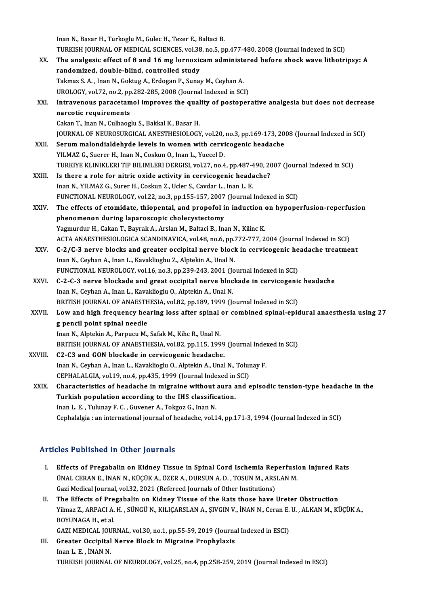Inan N., Basar H., Turkoglu M., Gulec H., Tezer E., Baltaci B. Inan N., Basar H., Turkoglu M., Gulec H., Tezer E., Baltaci B.<br>TURKISH JOURNAL OF MEDICAL SCIENCES, vol.38, no.5, pp.477-480, 2008 (Journal Indexed in SCI)<br>The analgesis effect of 8 and 16 mg lonnovisem administered before Inan N., Basar H., Turkoglu M., Gulec H., Tezer E., Baltaci B.<br>TURKISH JOURNAL OF MEDICAL SCIENCES, vol.38, no.5, pp.477-480, 2008 (Journal Indexed in SCI)<br>XX. The analgesic effect of 8 and 16 mg lornoxicam administered be TURKISH JOURNAL OF MEDICAL SCIENCES, vol.38<br>The analgesic effect of 8 and 16 mg lornoxic<br>randomized, double-blind, controlled study<br>Telmes S.A., Inen N. Coltus A. Endesen B. Sunes The analgesic effect of 8 and 16 mg lornoxicam administered before shock wave lithotripsy: A<br>randomized, double-blind, controlled study<br>Takmaz S.A., Inan N., Goktug A., Erdogan P., Sunay M., Ceyhan A. UROLOGY, vol.72, no.2, pp.282-285, 2008 (Journal Indexed in SCI) Takmaz S. A. , Inan N., Goktug A., Erdogan P., Sunay M., Ceyhan A.<br>UROLOGY, vol.72, no.2, pp.282-285, 2008 (Journal Indexed in SCI)<br>XXI. Intravenous paracetamol improves the quality of postoperative analgesia but does not UROLOGY, vol.72, no.2, pp<br>Intravenous paracetam<br>narcotic requirements Intravenous paracetamol improves the qual<br>narcotic requirements<br>Cakan T., Inan N., Culhaoglu S., Bakkal K., Basar H.<br>JOUPNAL OF NEUPOSUPCICAL ANESTHESIOLOCY narcotic requirements<br>Cakan T., Inan N., Culhaoglu S., Bakkal K., Basar H.<br>JOURNAL OF NEUROSURGICAL ANESTHESIOLOGY, vol.20, no.3, pp.169-173, 2008 (Journal Indexed in SCI)<br>Serum melandialdebyda lavels in women with servise Cakan T., Inan N., Culhaoglu S., Bakkal K., Basar H.<br>JOURNAL OF NEUROSURGICAL ANESTHESIOLOGY, vol.20, no.3, pp.169-173, 20<br>XXII. Serum malondialdehyde levels in women with cervicogenic headache<br>YILMAZ G., Suerer H., Inan N JOURNAL OF NEUROSURGICAL ANESTHESIOLOGY, vol.20,<br>Serum malondialdehyde levels in women with cervi<br>YILMAZ G., Suerer H., Inan N., Coskun O., Inan L., Yuecel D.<br>TURKIVE KLINIKLERLTIR BILIMLERLDERCISL vol.27, no.4 TURKIYE KLINIKLERI TIP BILIMLERI DERGISI, vol.27, no.4, pp.487-490, 2007 (Journal Indexed in SCI) YILMAZ G., Suerer H., Inan N., Coskun O., Inan L., Yuecel D.<br>TURKIYE KLINIKLERI TIP BILIMLERI DERGISI, vol.27, no.4, pp.487-490, 2<br>XXIII. Is there a role for nitric oxide activity in cervicogenic headache?<br>Inan N. VII MAZ TURKIYE KLINIKLERI TIP BILIMLERI DERGISI, vol.27, no.4, pp.487-4<br>Is there a role for nitric oxide activity in cervicogenic head:<br>Inan N., YILMAZ G., Surer H., Coskun Z., Ucler S., Cavdar L., Inan L. E.<br>EUNCTIONAL NEUPOLOCY Is there a role for nitric oxide activity in cervicogenic headache?<br>Inan N., YILMAZ G., Surer H., Coskun Z., Ucler S., Cavdar L., Inan L. E.<br>FUNCTIONAL NEUROLOGY, vol.22, no.3, pp.155-157, 2007 (Journal Indexed in SCI)<br>The Inan N., YILMAZ G., Surer H., Coskun Z., Ucler S., Cavdar L., Inan L. E.<br>FUNCTIONAL NEUROLOGY, vol.22, no.3, pp.155-157, 2007 (Journal Indexed in SCI)<br>XXIV. The effects of etomidate, thiopental, and propofol in induction o FUNCTIONAL NEUROLOGY, vol.22, no.3, pp.155-157, 2007<br>The effects of etomidate, thiopental, and propofol is<br>phenomenon during laparoscopic cholecystectomy<br>Vermundur H. Colon T. Beurel: A. Arelan M. Beltegi B. Inc Yagmurdur H., Cakan T., Bayrak A., Arslan M., Baltaci B., Inan N., Kilinc K. phenomenon during laparoscopic cholecystectomy<br>Yagmurdur H., Cakan T., Bayrak A., Arslan M., Baltaci B., Inan N., Kilinc K.<br>ACTA ANAESTHESIOLOGICA SCANDINAVICA, vol.48, no.6, pp.772-777, 2004 (Journal Indexed in SCI)<br>S. 34 XXV. C-2/C-3 nerve blocks and greater occipital nerve block in cervicogenic headache treatment<br>Inan N., Ceyhan A., Inan L., Kavaklioghu Z., Alptekin A., Unal N. ACTA ANAESTHESIOLOGICA SCANDINAVICA, vol.48, no.6, pp.:<br>C-2/C-3 nerve blocks and greater occipital nerve block<br>Inan N., Ceyhan A., Inan L., Kavaklioghu Z., Alptekin A., Unal N.<br>EUNCTIONAL NEUBOLOCY vol.16, no.3, np.229,242 C-2/C-3 nerve blocks and greater occipital nerve block in cervicogenic he<br>Inan N., Ceyhan A., Inan L., Kavaklioghu Z., Alptekin A., Unal N.<br>FUNCTIONAL NEUROLOGY, vol.16, no.3, pp.239-243, 2001 (Journal Indexed in SCI)<br>C.2. XXVI. C-2-C-3 nerve blockade and great occipital nerve blockade in cervicogenic headache<br>Inan N., Ceyhan A., Inan L., Kavaklioglu O., Alptekin A., Unal N. FUNCTIONAL NEUROLOGY, vol.16, no.3, pp.239-243, 2001 (Jones 2-2-C-3 nerve blockade and great occipital nerve block<br>Inan N., Ceyhan A., Inan L., Kavaklioglu O., Alptekin A., Unal N.<br>PRITISH JOURNAL OF ANAESTHESIA, vol.22, n BRITISH JOURNAL OF ANAESTHESIA, vol.82, pp.189, 1999 (Journal Indexed in SCI) Inan N., Ceyhan A., Inan L., Kavaklioglu O., Alptekin A., Unal N.<br>BRITISH JOURNAL OF ANAESTHESIA, vol.82, pp.189, 1999 (Journal Indexed in SCI)<br>XXVII. Low and high frequency hearing loss after spinal or combined spinal-epi BRITISH JOURNAL OF ANAESTH<br>Low and high frequency head<br>g pencil point spinal needle Low and high frequency hearing loss after spinal<br>g pencil point spinal needle<br>Inan N., Alptekin A., Parpucu M., Safak M., Kihc R., Unal N.<br>PRITISH JOURNAL OF ANAESTHESIA .vol 92, nn 115, 199 g pencil point spinal needle<br>Inan N., Alptekin A., Parpucu M., Safak M., Kihc R., Unal N.<br>BRITISH JOURNAL OF ANAESTHESIA, vol.82, pp.115, 1999 (Journal Indexed in SCI)<br>C2-C3 and GON blockade in cervicogenic headache. Inan N., Alptekin A., Parpucu M., Safak M., Kihc R., Unal N.<br>BRITISH JOURNAL OF ANAESTHESIA, vol.82, pp.115, 199<br>XXVIII. C2-C3 and GON blockade in cervicogenic headache BRITISH JOURNAL OF ANAESTHESIA, vol.82, pp.115, 1999 (Journal Inde:<br>C2-C3 and GON blockade in cervicogenic headache.<br>Inan N., Ceyhan A., Inan L., Kavaklioglu O., Alptekin A., Unal N., Tolunay F.<br>CERHALALCIA, vol.19, no.4, C2-C3 and GON blockade in cervicogenic headache.<br>Inan N., Ceyhan A., Inan L., Kavaklioglu O., Alptekin A., Unal N., Tolur<br>CEPHALALGIA, vol.19, no.4, pp.435, 1999 (Journal Indexed in SCI)<br>Characteristics of headache in misr Inan N., Ceyhan A., Inan L., Kavaklioglu O., Alptekin A., Unal N., Tolunay F.<br>CEPHALALGIA, vol.19, no.4, pp.435, 1999 (Journal Indexed in SCI)<br>XXIX. Characteristics of headache in migraine without aura and episodic tension CEPHALALGIA, vol.19, no.4, pp.435, 1999 (Journal Indexed in SCI)<br>Characteristics of headache in migraine without aura and<br>Turkish population according to the IHS classification.<br>Inan L. E., Tulunay F. C., Guvener A., Tokgo Characteristics of headache in migraine without<br>Turkish population according to the IHS classific<br>Inan L. E., Tulunay F. C., Guvener A., Tokgoz G., Inan N. Cephalalgia : an international journal of headache, vol.14, pp.171-3, 1994 (Journal Indexed in SCI)

#### Articles Published in Other Journals

- rticles Published in Other Journals<br>I. Effects of Pregabalin on Kidney Tissue in Spinal Cord Ischemia Reperfusion Injured Rats<br>JINAL CERAN E. INAN N. KÜCÜK A. ÖZER A. DURSUN A. D. TOSUN M. ARSLAN M. Effects of Pregabalin on Kidney Tissue in Spinal Cord Ischemia Reperfusion<br>ÜNAL CERAN E., İNAN N., KÜÇÜK A., ÖZER A., DURSUN A. D. , TOSUN M., ARSLAN M.<br>Ceri Medical Journal vel 22, 2021 (Refereed Journals of Other Institu Effects of Pregabalin on Kidney Tissue in Spinal Cord Ischemia Rep<br>ÜNAL CERAN E., İNAN N., KÜÇÜK A., ÖZER A., DURSUN A. D., TOSUN M., ARS<br>Gazi Medical Journal, vol.32, 2021 (Refereed Journals of Other Institutions)<br>The Eff UNAL CERAN E., INAN N., KÜÇÜK A., ÖZER A., DURSUN A. D., TOSUN M., ARSLAN M.<br>Gazi Medical Journal, vol.32, 2021 (Refereed Journals of Other Institutions)<br>II. The Effects of Pregabalin on Kidney Tissue of the Rats those hav
- Gazi Medical Journal, vol.32, 2021 (Refereed Journals of Other Institutions)<br>The Effects of Pregabalin on Kidney Tissue of the Rats those have Ureter Obstruction<br>Yilmaz Z., ARPACI A. H. , SÜNGÜ N., KILIÇARSLAN A., ŞIVGIN V The Effects of Pre<br>Yilmaz Z., ARPACI A.<br>BOYUNAGA H., et al.<br>CAZI MEDICAL JOUL Yilmaz Z., ARPACI A. H. , SÜNGÜ N., KILIÇARSLAN A., ŞIVGIN V., İNAN N., Ceran E.<br>BOYUNAGA H., et al.<br>GAZI MEDICAL JOURNAL, vol.30, no.1, pp.55-59, 2019 (Journal Indexed in ESCI)<br>Creater Oscinital Nerve Blask in Migraine Br

BOYUNAGA H., et al.<br>GAZI MEDICAL JOURNAL, vol.30, no.1, pp.55-59, 2019 (Journa<br>III. Greater Occipital Nerve Block in Migraine Prophylaxis<br>Inan L.E. WAN N. GAZI MEDICAL JOU<br>Greater Occipital<br>Inan L. E. , İNAN N.<br>TURKEH JOUPNAL Inan L. E. , İNAN N.<br>TURKISH JOURNAL OF NEUROLOGY, vol.25, no.4, pp.258-259, 2019 (Journal Indexed in ESCI)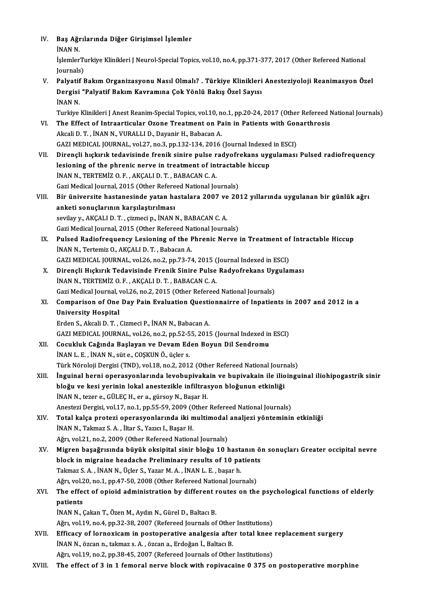| IV.    | Baş Ağrılarında Diğer Girişimsel İşlemler                                                                                                 |
|--------|-------------------------------------------------------------------------------------------------------------------------------------------|
|        | İNAN N.                                                                                                                                   |
|        | İşlemlerTurkiye Klinikleri J Neurol-Special Topics, vol.10, no.4, pp.371-377, 2017 (Other Refereed National<br>Journals)                  |
| V.     | Palyatif Bakım Organizasyonu Nasıl Olmalı? . Türkiye Klinikleri Anesteziyoloji Reanimasyon Özel                                           |
|        | Dergisi "Palyatif Bakım Kavramına Çok Yönlü Bakış Özel Sayısı                                                                             |
|        | <b>İNAN N.</b>                                                                                                                            |
|        | Turkiye Klinikleri J Anest Reanim-Special Topics, vol.10, no.1, pp.20-24, 2017 (Other Refereed National Journals)                         |
| VI.    | The Effect of Intraarticular Ozone Treatment on Pain in Patients with Gonarthrosis                                                        |
|        | Akcali D. T., İNAN N., VURALLI D., Dayanir H., Babacan A.                                                                                 |
|        | GAZI MEDICAL JOURNAL, vol.27, no.3, pp.132-134, 2016 (Journal Indexed in ESCI)                                                            |
| VII.   | Dirençli hıçkırık tedavisinde frenik sinire pulse radyofrekans uygulaması Pulsed radiofrequency                                           |
|        | lesioning of the phrenic nerve in treatment of intractable hiccup                                                                         |
|        | INAN N., TERTEMIZ O. F., AKÇALI D. T., BABACAN C. A.                                                                                      |
|        | Gazi Medical Journal, 2015 (Other Refereed National Journals)                                                                             |
| VIII.  | Bir üniversite hastanesinde yatan hastalara 2007 ve 2012 yıllarında uygulanan bir günlük ağrı                                             |
|        | anketi sonuçlarının karşılaştırılması                                                                                                     |
|        | sevilay y., AKÇALI D. T., çizmeci p., İNAN N., BABACAN C. A.                                                                              |
|        | Gazi Medical Journal, 2015 (Other Refereed National Journals)                                                                             |
| IX.    | Pulsed Radiofrequency Lesioning of the Phrenic Nerve in Treatment of Intractable Hiccup                                                   |
|        | INAN N., Tertemiz O., AKÇALI D. T., Babacan A.                                                                                            |
|        | GAZI MEDICAL JOURNAL, vol.26, no.2, pp.73-74, 2015 (Journal Indexed in ESCI)                                                              |
| X.     | Dirençli Hıçkırık Tedavisinde Frenik Sinire Pulse Radyofrekans Uygulaması                                                                 |
|        | INAN N., TERTEMIZ O. F., AKÇALI D. T., BABACAN C. A.                                                                                      |
|        | Gazi Medical Journal, vol.26, no.2, 2015 (Other Refereed National Journals)                                                               |
| XI.    | Comparison of One Day Pain Evaluation Questionnairre of Inpatients in 2007 and 2012 in a                                                  |
|        | <b>University Hospital</b>                                                                                                                |
|        | Erden S., Akcali D. T., Cizmeci P., İNAN N., Babacan A.                                                                                   |
|        | GAZI MEDICAL JOURNAL, vol.26, no.2, pp.52-55, 2015 (Journal Indexed in ESCI)                                                              |
| XII.   | Cocukluk Cağında Başlayan ve Devam Eden Boyun Dil Sendromu                                                                                |
|        | INAN L. E., INAN N., süt e., COŞKUN Ö., üçler s.                                                                                          |
|        | Türk Nöroloji Dergisi (TND), vol.18, no.2, 2012 (Other Refereed National Journals)                                                        |
| XIII.  | İnguinal herni operasyonlarında levobupivakain ve bupivakain ile ilioinguinal iliohipogastrik sinir                                       |
|        | bloğu ve kesi yerinin lokal anestezikle infiltrasyon bloğunun etkinliği                                                                   |
|        | INAN N., tezer e., GÜLEÇ H., er a., gürsoy N., Başar H.                                                                                   |
|        | Anestezi Dergisi, vol.17, no.1, pp.55-59, 2009 (Other Refereed National Journals)                                                         |
| XIV.   | Total kalça protezi operasyonlarında iki multimodal analjezi yönteminin etkinliği<br>İNAN N., Takmaz S. A., İltar S., Yazıcı I., Başar H. |
|        | Ağrı, vol.21, no.2, 2009 (Other Refereed National Journals)                                                                               |
| XV.    | Migren başağrısında büyük oksipital sinir bloğu 10 hastanın ön sonuçları Greater occipital nevre                                          |
|        | block in migraine headache Preliminary results of 10 patients                                                                             |
|        | Takmaz S. A., İNAN N., Üçler S., Yazar M. A., İNAN L. E., başar h.                                                                        |
|        | Ağrı, vol.20, no.1, pp.47-50, 2008 (Other Refereed National Journals)                                                                     |
| XVI.   | The effect of opioid administration by different routes on the psychological functions of elderly                                         |
|        | patients                                                                                                                                  |
|        | İNAN N., Çakan T., Özen M., Aydın N., Gürel D., Baltacı B.                                                                                |
|        | Ağrı, vol.19, no.4, pp.32-38, 2007 (Refereed Journals of Other Institutions)                                                              |
| XVII.  | Efficacy of lornoxicam in postoperative analgesia after total knee replacement surgery                                                    |
|        | İNAN N., özcan n., takmaz s. A., özcan a., Erdoğan İ., Baltacı B.                                                                         |
|        | Ağrı, vol.19, no.2, pp.38-45, 2007 (Refereed Journals of Other Institutions)                                                              |
| XVIII. | The effect of 3 in 1 femoral nerve block with ropivacaine 0 375 on postoperative morphine                                                 |
|        |                                                                                                                                           |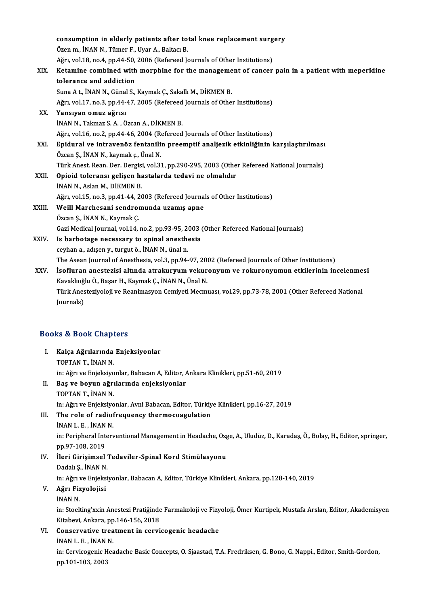|        | consumption in elderly patients after total knee replacement surgery                                  |
|--------|-------------------------------------------------------------------------------------------------------|
|        | Özen m., İNAN N., Tümer F., Uyar A., Baltacı B.                                                       |
|        | Ağrı, vol.18, no.4, pp.44-50, 2006 (Refereed Journals of Other Institutions)                          |
| XIX.   | Ketamine combined with morphine for the management of cancer pain in a patient with meperidine        |
|        | tolerance and addiction                                                                               |
|        | Suna A t., İNAN N., Günal S., Kaymak Ç., Sakallı M., DİKMEN B.                                        |
|        | Ağrı, vol.17, no.3, pp.44-47, 2005 (Refereed Journals of Other Institutions)                          |
| XX.    | Yansıyan omuz ağrısı                                                                                  |
|        | İNAN N., Takmaz S. A., Özcan A., DİKMEN B.                                                            |
|        | Ağrı, vol.16, no.2, pp.44-46, 2004 (Refereed Journals of Other Institutions)                          |
| XXI.   | Epidural ve intravenöz fentanilin preemptif analjezik etkinliğinin karşılaştırılması                  |
|        | Özcan Ş., İNAN N., kaymak ç., Ünal N.                                                                 |
|        | Türk Anest. Rean. Der. Dergisi, vol.31, pp.290-295, 2003 (Other Refereed National Journals)           |
| XXII.  | Opioid toleransı gelişen hastalarda tedavi ne olmalıdır                                               |
|        | INAN N., Aslan M., DİKMEN B.                                                                          |
|        | Ağrı, vol.15, no.3, pp.41-44, 2003 (Refereed Journals of Other Institutions)                          |
| XXIII. | Weill Marchesani sendromunda uzamış apne                                                              |
|        | Özcan Ş., İNAN N., Kaymak Ç.                                                                          |
|        | Gazi Medical Journal, vol.14, no.2, pp.93-95, 2003 (Other Refereed National Journals)                 |
| XXIV.  | Is barbotage necessary to spinal anesthesia                                                           |
|        | ceyhan a., adışen y., turgut ö., İNAN N., ünal n.                                                     |
|        | The Asean Journal of Anesthesia, vol.3, pp.94-97, 2002 (Refereed Journals of Other Institutions)      |
| XXV.   | İsofluran anestezisi altında atrakuryum vekuronyum ve rokuronyumun etkilerinin incelenmesi            |
|        | Kavaklıoğlu Ö., Başar H., Kaymak Ç., İNAN N., Ünal N.                                                 |
|        | Türk Anesteziyoloji ve Reanimasyon Cemiyeti Mecmuası, vol.29, pp.73-78, 2001 (Other Refereed National |
|        | Journals)                                                                                             |

# <sub>Journais)</sub><br>Books & Book Chapters

| <b>Books &amp; Book Chapters</b> |                                                                                                                       |  |
|----------------------------------|-----------------------------------------------------------------------------------------------------------------------|--|
| L                                | Kalça Ağrılarında Enjeksiyonlar                                                                                       |  |
|                                  | TOPTAN T., İNAN N.                                                                                                    |  |
|                                  | in: Ağrı ve Enjeksiyonlar, Babacan A, Editor, Ankara Klinikleri, pp.51-60, 2019                                       |  |
| II.                              | Baş ve boyun ağrılarında enjeksiyonlar                                                                                |  |
|                                  | TOPTAN T., İNAN N.                                                                                                    |  |
|                                  | in: Ağrı ve Enjeksiyonlar, Avni Babacan, Editor, Türkiye Klinikleri, pp.16-27, 2019                                   |  |
| III.                             | The role of radiofrequency thermocoagulation                                                                          |  |
|                                  | INAN L E , INAN N                                                                                                     |  |
|                                  | in: Peripheral Interventional Management in Headache, Ozge, A., Uludüz, D., Karadaş, Ö., Bolay, H., Editor, springer, |  |
|                                  | pp 97-108, 2019                                                                                                       |  |
| IV.                              | İleri Girişimsel Tedaviler-Spinal Kord Stimülasyonu                                                                   |  |
|                                  | Dadalı Ş., İNAN N.                                                                                                    |  |
|                                  | in: Ağrı ve Enjeksiyonlar, Babacan A, Editor, Türkiye Klinikleri, Ankara, pp.128-140, 2019                            |  |
| V.                               | Ağrı Fizyolojisi                                                                                                      |  |
|                                  | İNAN N.                                                                                                               |  |
|                                  | in: Stoelting'xxin Anestezi Pratiğinde Farmakoloji ve Fizyoloji, Ömer Kurtipek, Mustafa Arslan, Editor, Akademisyen   |  |
|                                  | Kitabevi, Ankara, pp. 146-156, 2018                                                                                   |  |
| VI.                              | Conservative treatment in cervicogenic headache                                                                       |  |
|                                  | INAN L E , INAN N                                                                                                     |  |
|                                  | in: Cervicogenic Headache Basic Concepts, O. Sjaastad, T.A. Fredriksen, G. Bono, G. Nappi., Editor, Smith-Gordon,     |  |
|                                  | pp 101-103, 2003                                                                                                      |  |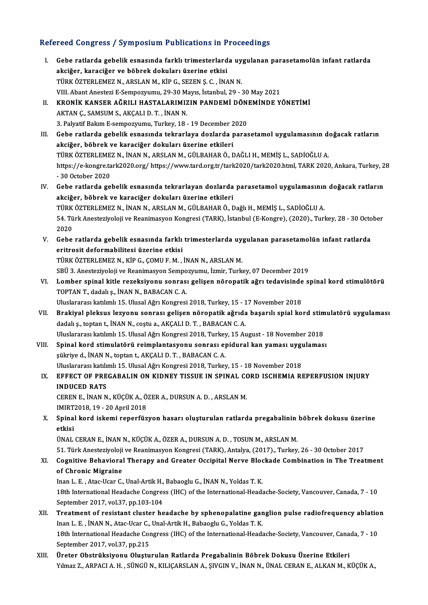# Refereed Congress / Symposium Publications in Proceedings<br>Refereed Congress / Symposium Publications in Proceedings

| Refereed Congress / Symposium Publications in Proceedings |                                                                                                                                                                                                                      |  |
|-----------------------------------------------------------|----------------------------------------------------------------------------------------------------------------------------------------------------------------------------------------------------------------------|--|
| L.                                                        | Gebe ratlarda gebelik esnasında farklı trimesterlarda uygulanan parasetamolün infant ratlarda<br>akciğer, karaciğer ve böbrek dokuları üzerine etkisi<br>TÜRK ÖZTERLEMEZ N., ARSLAN M., KİP G., SEZEN Ş. C., İNAN N. |  |
|                                                           | VIII. Abant Anestezi E-Sempozyumu, 29-30 Mayıs, İstanbul, 29 - 30 May 2021                                                                                                                                           |  |
| П.                                                        | KRONİK KANSER AĞRILI HASTALARIMIZIN PANDEMİ DÖNEMİNDE YÖNETİMİ                                                                                                                                                       |  |
|                                                           | AKTAN Ç., SAMSUM S., AKÇALI D. T., İNAN N.                                                                                                                                                                           |  |
|                                                           | 3. Palyatif Bakım E-sempozyumu, Turkey, 18 - 19 December 2020                                                                                                                                                        |  |
| III.                                                      | Gebe ratlarda gebelik esnasında tekrarlaya dozlarda parasetamol uygulamasının doğacak ratların                                                                                                                       |  |
|                                                           | akciğer, böbrek ve karaciğer dokuları üzerine etkileri                                                                                                                                                               |  |
|                                                           | TÜRK ÖZTERLEMEZ N., İNAN N., ARSLAN M., GÜLBAHAR Ö., DAĞLI H., MEMİŞ L., SADİOĞLU A.                                                                                                                                 |  |
|                                                           | https://e-kongre.tark2020.org/ https://www.tard.org.tr/tark2020/tark2020.html, TARK 2020, Ankara, Turkey, 28                                                                                                         |  |
|                                                           | - 30 October 2020                                                                                                                                                                                                    |  |
| IV                                                        | Gebe ratlarda gebelik esnasında tekrarlayan dozlarda parasetamol uygulamasının doğacak ratların                                                                                                                      |  |
|                                                           | akciğer, böbrek ve karaciğer dokuları üzerine etkileri                                                                                                                                                               |  |
|                                                           | TÜRK ÖZTERLEMEZ N., İNAN N., ARSLAN M., GÜLBAHAR Ö., Dağlı H., MEMİŞ L., SADİOĞLU A.                                                                                                                                 |  |
|                                                           | 54. Türk Anesteziyoloji ve Reanimasyon Kongresi (TARK), İstanbul (E-Kongre), (2020)., Turkey, 28 - 30 October                                                                                                        |  |
|                                                           | 2020                                                                                                                                                                                                                 |  |
| V.                                                        | Gebe ratlarda gebelik esnasında farklı trimesterlarda uygulanan parasetamolün infant ratlarda                                                                                                                        |  |
|                                                           | eritrosit deformabilitesi üzerine etkisi                                                                                                                                                                             |  |
|                                                           | TÜRK ÖZTERLEMEZ N., KİP G., ÇOMU F. M., İNAN N., ARSLAN M.                                                                                                                                                           |  |
|                                                           | SBÜ 3. Anesteziyoloji ve Reanimasyon Sempozyumu, İzmir, Turkey, 07 December 2019                                                                                                                                     |  |
| VI.                                                       | Lomber spinal kitle rezeksiyonu sonrası gelişen nöropatik ağrı tedavisinde spinal kord stimulötörü                                                                                                                   |  |
|                                                           | TOPTAN T., dadalı ş., İNAN N., BABACAN C. A.                                                                                                                                                                         |  |
|                                                           | Uluslararası katılımlı 15. Ulusal Ağrı Kongresi 2018, Turkey, 15 - 17 November 2018                                                                                                                                  |  |
| VII.                                                      | Brakiyal pleksus lezyonu sonrası gelişen nöropatik ağrıda başarılı spial kord stimulatörü uygulaması<br>dadalı ş., toptan t., İNAN N., coştu a., AKÇALI D. T., BABACAN C. A.                                         |  |
|                                                           | Uluslararası katılımlı 15. Ulusal Ağrı Kongresi 2018, Turkey, 15 August - 18 November 2018                                                                                                                           |  |
| VIII.                                                     | Spinal kord stimulatörü reimplantasyonu sonrası epidural kan yaması uygulaması                                                                                                                                       |  |
|                                                           | sükriye d., İNAN N., toptan t., AKÇALI D. T., BABACAN C. A.                                                                                                                                                          |  |
|                                                           | Uluslararası katılımlı 15. Ulusal Ağrı Kongresi 2018, Turkey, 15 - 18 November 2018                                                                                                                                  |  |
| IX.                                                       | EFFECT OF PREGABALIN ON KIDNEY TISSUE IN SPINAL CORD ISCHEMIA REPERFUSION INJURY                                                                                                                                     |  |
|                                                           | <b>INDUCED RATS</b>                                                                                                                                                                                                  |  |
|                                                           | CEREN E., İNAN N., KÜÇÜK A., ÖZER A., DURSUN A. D., ARSLAN M.                                                                                                                                                        |  |
|                                                           | IMIRT2018, 19 - 20 April 2018                                                                                                                                                                                        |  |
| X.                                                        | Spinal kord iskemi reperfüzyon hasarı oluşturulan ratlarda pregabalinin böbrek dokusu üzerine                                                                                                                        |  |
|                                                           | etkisi<br>ÜNAL CERAN E., İNAN N., KÜÇÜK A., ÖZER A., DURSUN A. D., TOSUN M., ARSLAN M.                                                                                                                               |  |
|                                                           | 51. Türk Anesteziyoloji ve Reanimasyon Kongresi (TARK), Antalya, (2017)., Turkey, 26 - 30 October 2017                                                                                                               |  |
| XI.                                                       | Cognitive Behavioral Therapy and Greater Occipital Nerve Blockade Combination in The Treatment                                                                                                                       |  |
|                                                           | of Chronic Migraine                                                                                                                                                                                                  |  |
|                                                           | Inan L. E., Atac-Ucar C., Unal-Artik H., Babaoglu G., İNAN N., Yoldas T. K.                                                                                                                                          |  |
|                                                           | 18th International Headache Congress (IHC) of the International-Headache-Society, Vancouver, Canada, 7 - 10                                                                                                          |  |
|                                                           | September 2017, vol.37, pp.103-104                                                                                                                                                                                   |  |
| XII.                                                      | Treatment of resistant cluster headache by sphenopalatine ganglion pulse radiofrequency ablation                                                                                                                     |  |
|                                                           | Inan L. E., İNAN N., Atac-Ucar C., Unal-Artik H., Babaoglu G., Yoldas T. K.                                                                                                                                          |  |
|                                                           | 18th International Headache Congress (IHC) of the International-Headache-Society, Vancouver, Canada, 7 - 10                                                                                                          |  |
|                                                           | September 2017, vol 37, pp.215                                                                                                                                                                                       |  |
| XIII.                                                     | Üreter Obstrüksiyonu Oluşturulan Ratlarda Pregabalinin Böbrek Dokusu Üzerine Etkileri                                                                                                                                |  |
|                                                           | Yılmaz Z., ARPACI A. H., SÜNGÜ N., KILIÇARSLAN A., ŞIVGIN V., İNAN N., ÜNAL CERAN E., ALKAN M., KÜÇÜK A.,                                                                                                            |  |
|                                                           |                                                                                                                                                                                                                      |  |